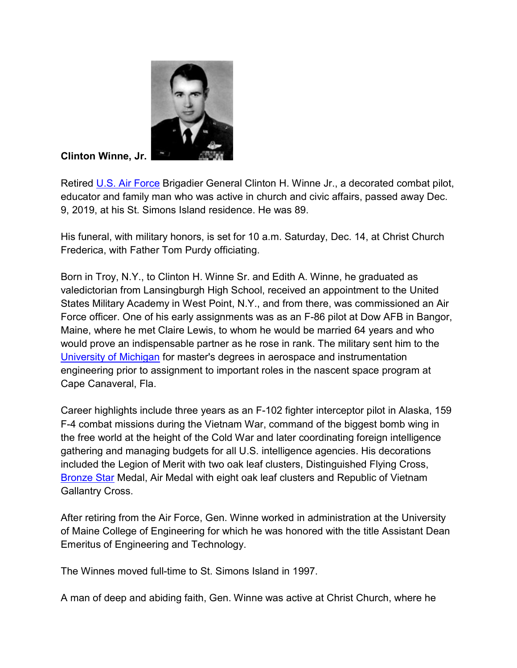

Clinton Winne, Jr.

Retired U.S. Air Force Brigadier General Clinton H. Winne Jr., a decorated combat pilot, educator and family man who was active in church and civic affairs, passed away Dec. 9, 2019, at his St. Simons Island residence. He was 89.

His funeral, with military honors, is set for 10 a.m. Saturday, Dec. 14, at Christ Church Frederica, with Father Tom Purdy officiating.

Born in Troy, N.Y., to Clinton H. Winne Sr. and Edith A. Winne, he graduated as valedictorian from Lansingburgh High School, received an appointment to the United States Military Academy in West Point, N.Y., and from there, was commissioned an Air Force officer. One of his early assignments was as an F-86 pilot at Dow AFB in Bangor, Maine, where he met Claire Lewis, to whom he would be married 64 years and who would prove an indispensable partner as he rose in rank. The military sent him to the University of Michigan for master's degrees in aerospace and instrumentation engineering prior to assignment to important roles in the nascent space program at Cape Canaveral, Fla.

Career highlights include three years as an F-102 fighter interceptor pilot in Alaska, 159 F-4 combat missions during the Vietnam War, command of the biggest bomb wing in the free world at the height of the Cold War and later coordinating foreign intelligence gathering and managing budgets for all U.S. intelligence agencies. His decorations included the Legion of Merit with two oak leaf clusters, Distinguished Flying Cross, Bronze Star Medal, Air Medal with eight oak leaf clusters and Republic of Vietnam Gallantry Cross.

After retiring from the Air Force, Gen. Winne worked in administration at the University of Maine College of Engineering for which he was honored with the title Assistant Dean Emeritus of Engineering and Technology.

The Winnes moved full-time to St. Simons Island in 1997.

A man of deep and abiding faith, Gen. Winne was active at Christ Church, where he